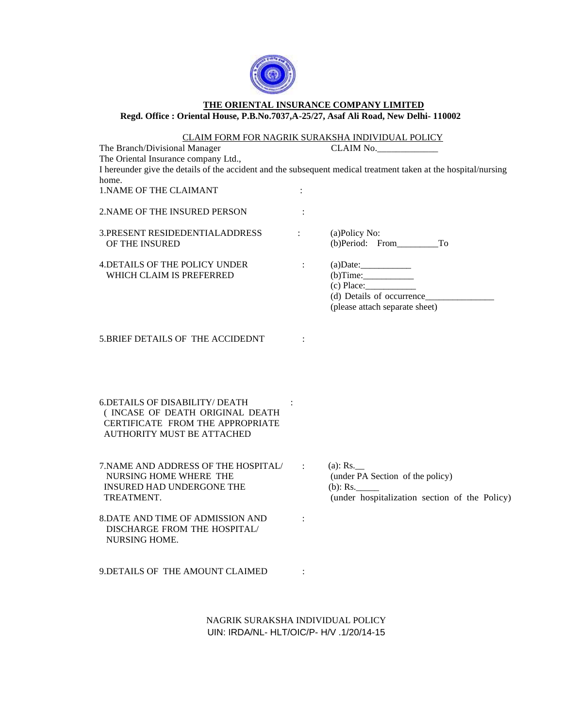

## **THE ORIENTAL INSURANCE COMPANY LIMITED Regd. Office : Oriental House, P.B.No.7037,A-25/27, Asaf Ali Road, New Delhi- 110002**

## CLAIM FORM FOR NAGRIK SURAKSHA INDIVIDUAL POLICY

| The Branch/Divisional Manager<br>The Oriental Insurance company Ltd.,<br>I hereunder give the details of the accident and the subsequent medical treatment taken at the hospital/nursing |                | CLAIM No.                                                                                                    |
|------------------------------------------------------------------------------------------------------------------------------------------------------------------------------------------|----------------|--------------------------------------------------------------------------------------------------------------|
| home.<br>1. NAME OF THE CLAIMANT                                                                                                                                                         |                |                                                                                                              |
| 2. NAME OF THE INSURED PERSON                                                                                                                                                            |                |                                                                                                              |
| 3. PRESENT RESIDEDENTIALADDRESS<br>OF THE INSURED                                                                                                                                        | $\ddot{\cdot}$ | (a)Policy No:<br>(b)Period: From To                                                                          |
| <b>4. DETAILS OF THE POLICY UNDER</b><br>WHICH CLAIM IS PREFERRED                                                                                                                        | $\ddot{\cdot}$ | $(a)$ Date:<br>(b) Time:<br>$(c)$ Place:<br>(d) Details of occurrence<br>(please attach separate sheet)      |
| 5. BRIEF DETAILS OF THE ACCIDEDNT                                                                                                                                                        |                |                                                                                                              |
| <b>6.DETAILS OF DISABILITY/ DEATH</b><br>( INCASE OF DEATH ORIGINAL DEATH<br>CERTIFICATE FROM THE APPROPRIATE<br><b>AUTHORITY MUST BE ATTACHED</b>                                       |                |                                                                                                              |
| 7. NAME AND ADDRESS OF THE HOSPITAL/<br>NURSING HOME WHERE THE<br>INSURED HAD UNDERGONE THE<br>TREATMENT.                                                                                | $\mathbb{R}^+$ | (a): Rs.<br>(under PA Section of the policy)<br>$(b)$ : Rs.<br>(under hospitalization section of the Policy) |
| 8. DATE AND TIME OF ADMISSION AND<br>DISCHARGE FROM THE HOSPITAL/<br>NURSING HOME.                                                                                                       |                |                                                                                                              |
| 9. DETAILS OF THE AMOUNT CLAIMED                                                                                                                                                         |                |                                                                                                              |

NAGRIK SURAKSHA INDIVIDUAL POLICY UIN: IRDA/NL- HLT/OIC/P- H/V .1/20/14-15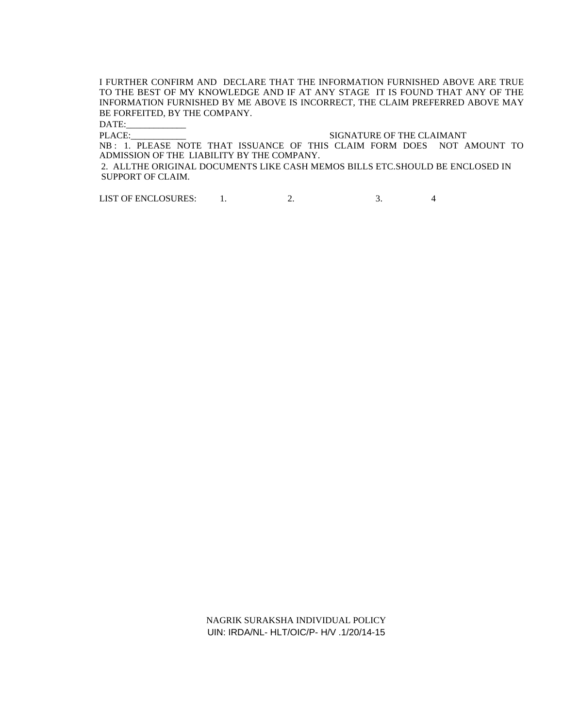I FURTHER CONFIRM AND DECLARE THAT THE INFORMATION FURNISHED ABOVE ARE TRUE TO THE BEST OF MY KNOWLEDGE AND IF AT ANY STAGE IT IS FOUND THAT ANY OF THE INFORMATION FURNISHED BY ME ABOVE IS INCORRECT, THE CLAIM PREFERRED ABOVE MAY BE FORFEITED, BY THE COMPANY.

DATE:

PLACE:\_\_\_\_\_\_\_\_\_\_\_\_ SIGNATURE OF THE CLAIMANT

NB : 1. PLEASE NOTE THAT ISSUANCE OF THIS CLAIM FORM DOES NOT AMOUNT TO ADMISSION OF THE LIABILITY BY THE COMPANY.

 2. ALLTHE ORIGINAL DOCUMENTS LIKE CASH MEMOS BILLS ETC.SHOULD BE ENCLOSED IN SUPPORT OF CLAIM.

LIST OF ENCLOSURES: 1. 2. 3. 4

NAGRIK SURAKSHA INDIVIDUAL POLICY UIN: IRDA/NL- HLT/OIC/P- H/V .1/20/14-15